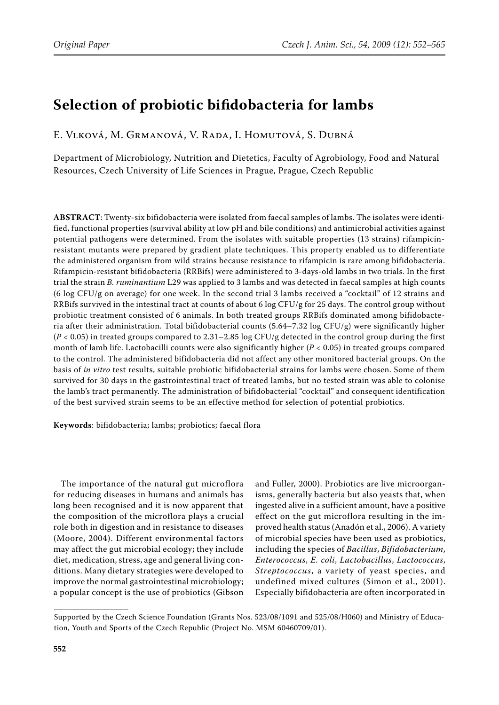# **Selection of probiotic bifidobacteria for lambs**

E. Vlková, M. Grmanová, V. Rada, I. Homutová, S. Dubná

Department of Microbiology, Nutrition and Dietetics, Faculty of Agrobiology, Food and Natural Resources, Czech University of Life Sciences in Prague, Prague, Czech Republic

**ABSTRACT**: Twenty-six bifidobacteria were isolated from faecal samples of lambs. The isolates were identified, functional properties (survival ability at low pH and bile conditions) and antimicrobial activities against potential pathogens were determined. From the isolates with suitable properties (13 strains) rifampicinresistant mutants were prepared by gradient plate techniques. This property enabled us to differentiate the administered organism from wild strains because resistance to rifampicin is rare among bifidobacteria. Rifampicin-resistant bifidobacteria (RRBifs) were administered to 3-days-old lambs in two trials. In the first trial the strain *B. ruminantium* L29 was applied to 3 lambs and was detected in faecal samples at high counts (6 log CFU/g on average) for one week. In the second trial 3 lambs received a "cocktail" of 12 strains and RRBifs survived in the intestinal tract at counts of about 6 log CFU/g for 25 days. The control group without probiotic treatment consisted of 6 animals. In both treated groups RRBifs dominated among bifidobacteria after their administration. Total bifidobacterial counts (5.64–7.32 log CFU/g) were significantly higher (*P* < 0.05) in treated groups compared to 2.31–2.85 log CFU/g detected in the control group during the first month of lamb life. Lactobacilli counts were also significantly higher (*P* < 0.05) in treated groups compared to the control. The administered bifidobacteria did not affect any other monitored bacterial groups. On the basis of *in vitro* test results, suitable probiotic bifidobacterial strains for lambs were chosen. Some of them survived for 30 days in the gastrointestinal tract of treated lambs, but no tested strain was able to colonise the lamb's tract permanently. The administration of bifidobacterial "cocktail" and consequent identification of the best survived strain seems to be an effective method for selection of potential probiotics.

**Keywords**: bifidobacteria; lambs; probiotics; faecal flora

The importance of the natural gut microflora for reducing diseases in humans and animals has long been recognised and it is now apparent that the composition of the microflora plays a crucial role both in digestion and in resistance to diseases (Moore, 2004). Different environmental factors may affect the gut microbial ecology; they include diet, medication, stress, age and general living conditions. Many dietary strategies were developed to improve the normal gastrointestinal microbiology; a popular concept is the use of probiotics (Gibson

and Fuller, 2000). Probiotics are live microorganisms, generally bacteria but also yeasts that, when ingested alive in a sufficient amount, have a positive effect on the gut microflora resulting in the improved health status (Anadón et al., 2006). A variety of microbial species have been used as probiotics, including the species of *Bacillus*, *Bifidobacterium*, *Enterococcus*, *E. coli*, *Lactobacillus*, *Lactococcus*, *Streptococcus*, a variety of yeast species, and undefined mixed cultures (Simon et al., 2001). Especially bifidobacteria are often incorporated in

Supported by the Czech Science Foundation (Grants Nos. 523/08/1091 and 525/08/H060) and Ministry of Education, Youth and Sports of the Czech Republic (Project No. MSM 60460709/01).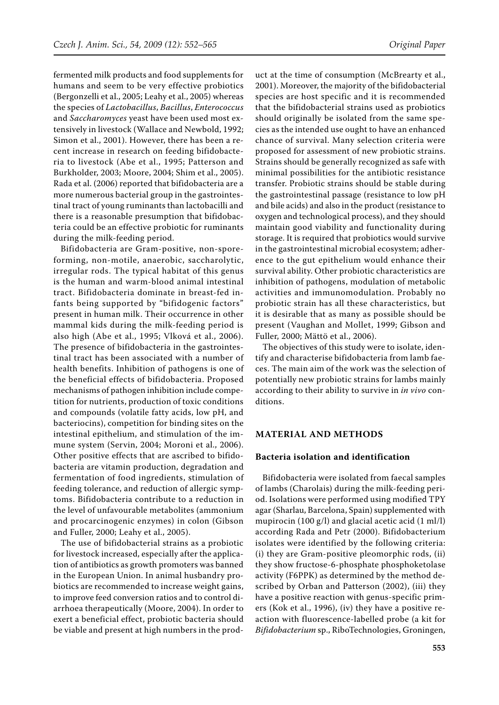fermented milk products and food supplements for humans and seem to be very effective probiotics (Bergonzelli et al., 2005; Leahy et al., 2005) whereas the species of *Lactobacillus*, *Bacillus*, *Enterococcus* and *Saccharomyces* yeast have been used most extensively in livestock (Wallace and Newbold, 1992; Simon et al., 2001). However, there has been a recent increase in research on feeding bifidobacteria to livestock (Abe et al., 1995; Patterson and Burkholder, 2003; Moore, 2004; Shim et al., 2005). Rada et al. (2006) reported that bifidobacteria are a more numerous bacterial group in the gastrointestinal tract of young ruminants than lactobacilli and there is a reasonable presumption that bifidobacteria could be an effective probiotic for ruminants during the milk-feeding period.

Bifidobacteria are Gram-positive, non-sporeforming, non-motile, anaerobic, saccharolytic, irregular rods. The typical habitat of this genus is the human and warm-blood animal intestinal tract. Bifidobacteria dominate in breast-fed infants being supported by "bifidogenic factors" present in human milk. Their occurrence in other mammal kids during the milk-feeding period is also high (Abe et al., 1995; Vlková et al., 2006). The presence of bifidobacteria in the gastrointestinal tract has been associated with a number of health benefits. Inhibition of pathogens is one of the beneficial effects of bifidobacteria. Proposed mechanisms of pathogen inhibition include competition for nutrients, production of toxic conditions and compounds (volatile fatty acids, low pH, and bacteriocins), competition for binding sites on the intestinal epithelium, and stimulation of the immune system (Servin, 2004; Moroni et al., 2006). Other positive effects that are ascribed to bifidobacteria are vitamin production, degradation and fermentation of food ingredients, stimulation of feeding tolerance, and reduction of allergic symptoms. Bifidobacteria contribute to a reduction in the level of unfavourable metabolites (ammonium and procarcinogenic enzymes) in colon (Gibson and Fuller, 2000; Leahy et al., 2005).

The use of bifidobacterial strains as a probiotic for livestock increased, especially after the application of antibiotics as growth promoters was banned in the European Union. In animal husbandry probiotics are recommended to increase weight gains, to improve feed conversion ratios and to control diarrhoea therapeutically (Moore, 2004). In order to exert a beneficial effect, probiotic bacteria should be viable and present at high numbers in the prod-

uct at the time of consumption (McBrearty et al., 2001). Moreover, the majority of the bifidobacterial species are host specific and it is recommended that the bifidobacterial strains used as probiotics should originally be isolated from the same species as the intended use ought to have an enhanced chance of survival. Many selection criteria were proposed for assessment of new probiotic strains. Strains should be generally recognized as safe with minimal possibilities for the antibiotic resistance transfer. Probiotic strains should be stable during the gastrointestinal passage (resistance to low pH and bile acids) and also in the product (resistance to oxygen and technological process), and they should maintain good viability and functionality during storage. It is required that probiotics would survive in the gastrointestinal microbial ecosystem; adherence to the gut epithelium would enhance their survival ability. Other probiotic characteristics are inhibition of pathogens, modulation of metabolic activities and immunomodulation. Probably no probiotic strain has all these characteristics, but it is desirable that as many as possible should be present (Vaughan and Mollet, 1999; Gibson and Fuller, 2000; Mättö et al., 2006).

The objectives of this study were to isolate, identify and characterise bifidobacteria from lamb faeces. The main aim of the work was the selection of potentially new probiotic strains for lambs mainly according to their ability to survive in *in vivo* conditions.

#### **Material and Methods**

#### **Bacteria isolation and identification**

Bifidobacteria were isolated from faecal samples of lambs (Charolais) during the milk-feeding period. Isolations were performed using modified TPY agar (Sharlau, Barcelona, Spain) supplemented with mupirocin (100 g/l) and glacial acetic acid (1 ml/l) according Rada and Petr (2000). Bifidobacterium isolates were identified by the following criteria: (i) they are Gram-positive pleomorphic rods, (ii) they show fructose-6-phosphate phosphoketolase activity (F6PPK) as determined by the method described by Orban and Patterson (2002), (iii) they have a positive reaction with genus-specific primers (Kok et al., 1996), (iv) they have a positive reaction with fluorescence-labelled probe (a kit for *Bifidobacterium* sp., RiboTechnologies, Groningen,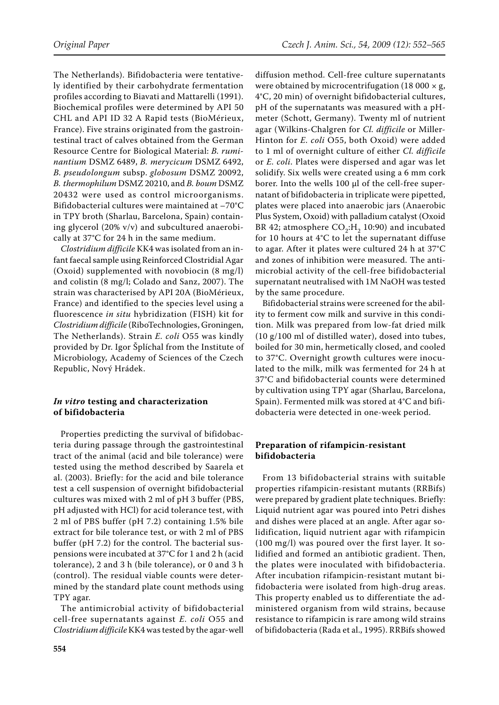The Netherlands). Bifidobacteria were tentatively identified by their carbohydrate fermentation profiles according to Biavati and Mattarelli (1991). Biochemical profiles were determined by API 50 CHL and API ID 32 A Rapid tests (BioMérieux, France). Five strains originated from the gastrointestinal tract of calves obtained from the German Resource Centre for Biological Material: *B. ruminantium* DSMZ 6489, *B. merycicum* DSMZ 6492, *B. pseudolongum* subsp. *globosum* DSMZ 20092, *B. thermophilum* DSMZ 20210, and *B. boum* DSMZ 20432 were used as control microorganisms. Bifidobacterial cultures were maintained at –70°C in TPY broth (Sharlau, Barcelona, Spain) containing glycerol (20% v/v) and subcultured anaerobically at 37°C for 24 h in the same medium.

*Clostridium difficile* KK4 was isolated from an infant faecal sample using Reinforced Clostridial Agar (Oxoid) supplemented with novobiocin (8 mg/l) and colistin (8 mg/l; Colado and Sanz, 2007). The strain was characterised by API 20A (BioMérieux, France) and identified to the species level using a fluorescence *in situ* hybridization (FISH) kit for *Clostridium difficile* (RiboTechnologies, Groningen, The Netherlands). Strain *E. coli* O55 was kindly provided by Dr. Igor Šplíchal from the Institute of Microbiology, Academy of Sciences of the Czech Republic, Nový Hrádek.

## *In vitro* **testing and characterization of bifidobacteria**

Properties predicting the survival of bifidobacteria during passage through the gastrointestinal tract of the animal (acid and bile tolerance) were tested using the method described by Saarela et al. (2003). Briefly: for the acid and bile tolerance test a cell suspension of overnight bifidobacterial cultures was mixed with 2 ml of pH 3 buffer (PBS, pH adjusted with HCl) for acid tolerance test, with 2 ml of PBS buffer (pH 7.2) containing 1.5% bile extract for bile tolerance test, or with 2 ml of PBS buffer (pH 7.2) for the control. The bacterial suspensions were incubated at 37°C for 1 and 2 h (acid tolerance), 2 and 3 h (bile tolerance), or 0 and 3 h (control). The residual viable counts were determined by the standard plate count methods using TPY agar.

The antimicrobial activity of bifidobacterial cell-free supernatants against *E. coli* O55 and *Clostridium difficile* KK4 was tested by the agar-well

diffusion method. Cell-free culture supernatants were obtained by microcentrifugation (18 000  $\times$  g, 4°C, 20 min) of overnight bifidobacterial cultures, pH of the supernatants was measured with a pHmeter (Schott, Germany). Twenty ml of nutrient agar (Wilkins-Chalgren for *Cl. difficile* or Miller-Hinton for *E. coli* O55, both Oxoid) were added to 1 ml of overnight culture of either *Cl. difficile* or *E. coli*. Plates were dispersed and agar was let solidify. Six wells were created using a 6 mm cork borer. Into the wells 100 μl of the cell-free supernatant of bifidobacteria in triplicate were pipetted, plates were placed into anaerobic jars (Anaerobic Plus System, Oxoid) with palladium catalyst (Oxoid BR 42; atmosphere  $CO<sub>2</sub>:H<sub>2</sub>$  10:90) and incubated for 10 hours at 4°C to let the supernatant diffuse to agar. After it plates were cultured 24 h at 37°C and zones of inhibition were measured. The antimicrobial activity of the cell-free bifidobacterial supernatant neutralised with 1M NaOH was tested by the same procedure.

Bifidobacterial strains were screened for the ability to ferment cow milk and survive in this condition. Milk was prepared from low-fat dried milk (10 g/100 ml of distilled water), dosed into tubes, boiled for 30 min, hermetically closed, and cooled to 37°C. Overnight growth cultures were inoculated to the milk, milk was fermented for 24 h at 37°C and bifidobacterial counts were determined by cultivation using TPY agar (Sharlau, Barcelona, Spain). Fermented milk was stored at 4°C and bifidobacteria were detected in one-week period.

# **Preparation of rifampicin-resistant bifidobacteria**

From 13 bifidobacterial strains with suitable properties rifampicin-resistant mutants (RRBifs) were prepared by gradient plate techniques. Briefly: Liquid nutrient agar was poured into Petri dishes and dishes were placed at an angle. After agar solidification, liquid nutrient agar with rifampicin (100 mg/l) was poured over the first layer. It solidified and formed an antibiotic gradient. Then, the plates were inoculated with bifidobacteria. After incubation rifampicin-resistant mutant bifidobacteria were isolated from high-drug areas. This property enabled us to differentiate the administered organism from wild strains, because resistance to rifampicin is rare among wild strains of bifidobacteria (Rada et al., 1995). RRBifs showed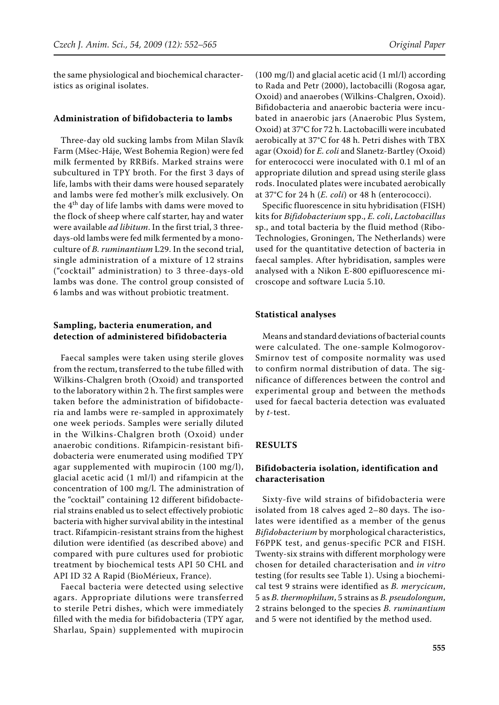the same physiological and biochemical characteristics as original isolates.

#### **Administration of bifidobacteria to lambs**

Three-day old sucking lambs from Milan Slavík Farm (Mšec-Háje, West Bohemia Region) were fed milk fermented by RRBifs. Marked strains were subcultured in TPY broth. For the first 3 days of life, lambs with their dams were housed separately and lambs were fed mother's milk exclusively. On the  $4<sup>th</sup>$  day of life lambs with dams were moved to the flock of sheep where calf starter, hay and water were available *ad libitum*. In the first trial, 3 threedays-old lambs were fed milk fermented by a monoculture of *B. ruminantium* L29. In the second trial, single administration of a mixture of 12 strains ("cocktail" administration) to 3 three-days-old lambs was done. The control group consisted of 6 lambs and was without probiotic treatment.

# **Sampling, bacteria enumeration, and detection of administered bifidobacteria**

Faecal samples were taken using sterile gloves from the rectum, transferred to the tube filled with Wilkins-Chalgren broth (Oxoid) and transported to the laboratory within 2 h. The first samples were taken before the administration of bifidobacteria and lambs were re-sampled in approximately one week periods. Samples were serially diluted in the Wilkins-Chalgren broth (Oxoid) under anaerobic conditions. Rifampicin-resistant bifidobacteria were enumerated using modified TPY agar supplemented with mupirocin (100 mg/l), glacial acetic acid (1 ml/l) and rifampicin at the concentration of 100 mg/l. The administration of the "cocktail" containing 12 different bifidobacterial strains enabled us to select effectively probiotic bacteria with higher survival ability in the intestinal tract. Rifampicin-resistant strains from the highest dilution were identified (as described above) and compared with pure cultures used for probiotic treatment by biochemical tests API 50 CHL and API ID 32 A Rapid (BioMérieux, France).

Faecal bacteria were detected using selective agars. Appropriate dilutions were transferred to sterile Petri dishes, which were immediately filled with the media for bifidobacteria (TPY agar, Sharlau, Spain) supplemented with mupirocin

(100 mg/l) and glacial acetic acid (1 ml/l) according to Rada and Petr (2000), lactobacilli (Rogosa agar, Oxoid) and anaerobes (Wilkins-Chalgren, Oxoid). Bifidobacteria and anaerobic bacteria were incubated in anaerobic jars (Anaerobic Plus System, Oxoid) at 37°C for 72 h. Lactobacilli were incubated aerobically at 37°C for 48 h. Petri dishes with TBX agar (Oxoid) for *E. coli* and Slanetz-Bartley (Oxoid) for enterococci were inoculated with 0.1 ml of an appropriate dilution and spread using sterile glass rods. Inoculated plates were incubated aerobically at 37°C for 24 h (*E. coli*) or 48 h (enterococci).

Specific fluorescence in situ hybridisation (FISH) kits for *Bifidobacterium* spp., *E. coli*, *Lactobacillus* sp., and total bacteria by the fluid method (Ribo-Technologies, Groningen, The Netherlands) were used for the quantitative detection of bacteria in faecal samples. After hybridisation, samples were analysed with a Nikon E-800 epifluorescence microscope and software Lucia 5.10.

#### **Statistical analyses**

Means and standard deviations of bacterial counts were calculated. The one-sample Kolmogorov-Smirnov test of composite normality was used to confirm normal distribution of data. The significance of differences between the control and experimental group and between the methods used for faecal bacteria detection was evaluated by *t*-test.

# **Results**

## **Bifidobacteria isolation, identification and characterisation**

Sixty-five wild strains of bifidobacteria were isolated from 18 calves aged 2–80 days. The isolates were identified as a member of the genus *Bifidobacterium* by morphological characteristics, F6PPK test, and genus-specific PCR and FISH. Twenty-six strains with different morphology were chosen for detailed characterisation and *in vitro* testing (for results see Table 1). Using a biochemical test 9 strains were identified as *B. merycicum*, 5 as *B. thermophilum*, 5 strains as *B. pseudolongum*, 2 strains belonged to the species *B. ruminantium* and 5 were not identified by the method used.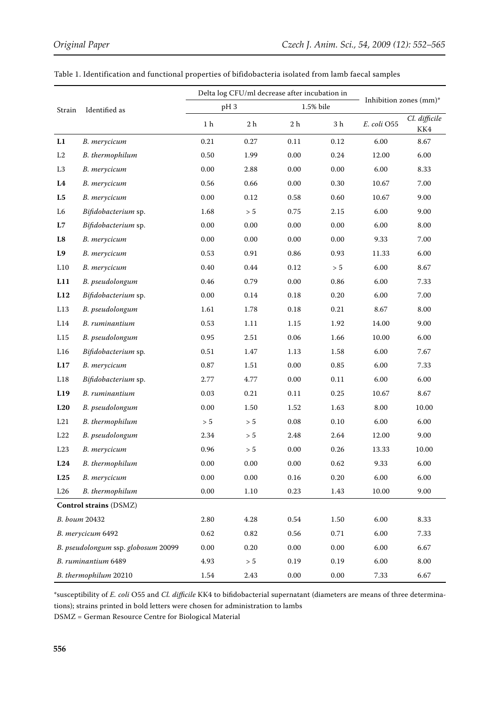|                                     |                     | Delta log CFU/ml decrease after incubation in |                |                |                 |                        |                      |
|-------------------------------------|---------------------|-----------------------------------------------|----------------|----------------|-----------------|------------------------|----------------------|
| Strain                              | Identified as       | pH <sub>3</sub>                               |                | 1.5% bile      |                 | Inhibition zones (mm)* |                      |
|                                     |                     | $1\ \mathrm{h}$                               | 2 <sub>h</sub> | 2 <sub>h</sub> | $3\ \mathrm{h}$ | E. coli O55            | Cl. difficile<br>KK4 |
| L1                                  | B. merycicum        | 0.21                                          | 0.27           | 0.11           | 0.12            | 6.00                   | 8.67                 |
| L2                                  | B. thermophilum     | 0.50                                          | 1.99           | 0.00           | 0.24            | 12.00                  | 6.00                 |
| L <sub>3</sub>                      | B. merycicum        | 0.00                                          | 2.88           | 0.00           | 0.00            | 6.00                   | 8.33                 |
| L4                                  | B. merycicum        | 0.56                                          | 0.66           | 0.00           | 0.30            | 10.67                  | 7.00                 |
| L <sub>5</sub>                      | B. merycicum        | 0.00                                          | 0.12           | 0.58           | 0.60            | 10.67                  | 9.00                 |
| L6                                  | Bifidobacterium sp. | 1.68                                          | $> 5\,$        | 0.75           | 2.15            | 6.00                   | 9.00                 |
| L7                                  | Bifidobacterium sp. | 0.00                                          | 0.00           | 0.00           | 0.00            | 6.00                   | 8.00                 |
| L8                                  | B. merycicum        | 0.00                                          | 0.00           | 0.00           | 0.00            | 9.33                   | 7.00                 |
| L9                                  | B. merycicum        | 0.53                                          | 0.91           | 0.86           | 0.93            | 11.33                  | 6.00                 |
| L10                                 | B. merycicum        | 0.40                                          | 0.44           | 0.12           | > 5             | 6.00                   | 8.67                 |
| L11                                 | B. pseudolongum     | 0.46                                          | 0.79           | 0.00           | 0.86            | 6.00                   | 7.33                 |
| L12                                 | Bifidobacterium sp. | 0.00                                          | 0.14           | 0.18           | 0.20            | 6.00                   | 7.00                 |
| L13                                 | B. pseudolongum     | 1.61                                          | 1.78           | 0.18           | 0.21            | 8.67                   | 8.00                 |
| L14                                 | B. ruminantium      | 0.53                                          | 1.11           | 1.15           | 1.92            | 14.00                  | 9.00                 |
| L15                                 | B. pseudolongum     | 0.95                                          | 2.51           | 0.06           | 1.66            | 10.00                  | 6.00                 |
| L16                                 | Bifidobacterium sp. | 0.51                                          | 1.47           | 1.13           | 1.58            | 6.00                   | 7.67                 |
| L17                                 | B. merycicum        | $0.87\,$                                      | 1.51           | 0.00           | 0.85            | 6.00                   | 7.33                 |
| L18                                 | Bifidobacterium sp. | 2.77                                          | 4.77           | 0.00           | 0.11            | 6.00                   | 6.00                 |
| L19                                 | B. ruminantium      | 0.03                                          | 0.21           | 0.11           | 0.25            | 10.67                  | 8.67                 |
| L20                                 | B. pseudolongum     | 0.00                                          | 1.50           | 1.52           | 1.63            | 8.00                   | 10.00                |
| L21                                 | B. thermophilum     | $> 5$                                         | > 5            | 0.08           | 0.10            | 6.00                   | 6.00                 |
| L22                                 | B. pseudolongum     | 2.34                                          | $> 5\,$        | 2.48           | 2.64            | 12.00                  | 9.00                 |
| L23                                 | B. merycicum        | 0.96                                          | $> 5$          | 0.00           | 0.26            | 13.33                  | 10.00                |
| L24                                 | B. thermophilum     | $0.00\,$                                      | $0.00\,$       | $0.00\,$       | 0.62            | 9.33                   | 6.00                 |
| L25                                 | B. merycicum        | 0.00                                          | 0.00           | 0.16           | 0.20            | $6.00\,$               | 6.00                 |
| L26                                 | B. thermophilum     | 0.00                                          | 1.10           | 0.23           | 1.43            | 10.00                  | 9.00                 |
| Control strains (DSMZ)              |                     |                                               |                |                |                 |                        |                      |
| B. boum 20432                       |                     | 2.80                                          | 4.28           | $0.54\,$       | 1.50            | 6.00                   | 8.33                 |
| B. merycicum 6492                   |                     | 0.62                                          | 0.82           | 0.56           | 0.71            | 6.00                   | 7.33                 |
| B. pseudolongum ssp. globosum 20099 |                     | 0.00                                          | 0.20           | 0.00           | 0.00            | 6.00                   | 6.67                 |
| B. ruminantium 6489                 |                     | 4.93                                          | $> 5$          | 0.19           | 0.19            | 6.00                   | 8.00                 |
| B. thermophilum 20210               |                     | 1.54                                          | 2.43           | $0.00\,$       | $0.00\,$        | 7.33                   | 6.67                 |

Table 1. Identification and functional properties of bifidobacteria isolated from lamb faecal samples

\*susceptibility of *E. coli* O55 and *Cl. difficile* KK4 to bifidobacterial supernatant (diameters are means of three determinations); strains printed in bold letters were chosen for administration to lambs

DSMZ = German Resource Centre for Biological Material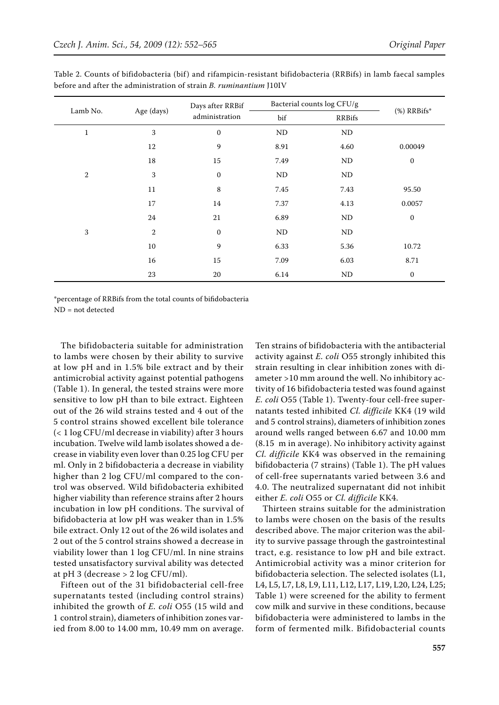|              |                | Days after RRBif | Bacterial counts log CFU/g |               |                  |  |
|--------------|----------------|------------------|----------------------------|---------------|------------------|--|
| Lamb No.     | Age (days)     | administration   | bif                        | <b>RRBifs</b> | $%$ ) RRBifs*    |  |
| $\mathbf{1}$ | 3              | $\mathbf{0}$     | $\rm ND$                   | ND            |                  |  |
|              | 12             | 9                | 8.91                       | 4.60          | 0.00049          |  |
|              | 18             | 15               | 7.49                       | ND            | $\boldsymbol{0}$ |  |
| $\sqrt{2}$   | 3              | $\mathbf{0}$     | $\rm ND$                   | ND            |                  |  |
|              | 11             | 8                | 7.45                       | 7.43          | 95.50            |  |
|              | 17             | 14               | 7.37                       | 4.13          | 0.0057           |  |
|              | 24             | 21               | 6.89                       | ND            | $\mathbf{0}$     |  |
| $\sqrt{3}$   | $\overline{2}$ | $\mathbf{0}$     | ND                         | ND            |                  |  |
|              | 10             | 9                | 6.33                       | 5.36          | 10.72            |  |
|              | 16             | 15               | 7.09                       | 6.03          | 8.71             |  |
|              | 23             | 20               | 6.14                       | ND            | $\mathbf{0}$     |  |

Table 2. Counts of bifidobacteria (bif) and rifampicin-resistant bifidobacteria (RRBifs) in lamb faecal samples before and after the administration of strain *B. ruminantium* J10IV

\*percentage of RRBifs from the total counts of bifidobacteria ND = not detected

The bifidobacteria suitable for administration to lambs were chosen by their ability to survive at low pH and in 1.5% bile extract and by their antimicrobial activity against potential pathogens (Table 1). In general, the tested strains were more sensitive to low pH than to bile extract. Eighteen out of the 26 wild strains tested and 4 out of the 5 control strains showed excellent bile tolerance (< 1 log CFU/ml decrease in viability) after 3 hours incubation. Twelve wild lamb isolates showed a decrease in viability even lover than 0.25 log CFU per ml. Only in 2 bifidobacteria a decrease in viability higher than 2 log CFU/ml compared to the control was observed. Wild bifidobacteria exhibited higher viability than reference strains after 2 hours incubation in low pH conditions. The survival of bifidobacteria at low pH was weaker than in 1.5% bile extract. Only 12 out of the 26 wild isolates and 2 out of the 5 control strains showed a decrease in viability lower than 1 log CFU/ml. In nine strains tested unsatisfactory survival ability was detected at pH 3 (decrease  $> 2 \log CFU/ml$ ).

Fifteen out of the 31 bifidobacterial cell-free supernatants tested (including control strains) inhibited the growth of *E. coli* O55 (15 wild and 1 control strain), diameters of inhibition zones varied from 8.00 to 14.00 mm, 10.49 mm on average.

Ten strains of bifidobacteria with the antibacterial activity against *E. coli* O55 strongly inhibited this strain resulting in clear inhibition zones with diameter >10 mm around the well. No inhibitory activity of 16 bifidobacteria tested was found against *E. coli* O55 (Table 1). Twenty-four cell-free supernatants tested inhibited *Cl. difficile* KK4 (19 wild and 5 control strains), diameters of inhibition zones around wells ranged between 6.67 and 10.00 mm (8.15 m in average). No inhibitory activity against *Cl. difficile* KK4 was observed in the remaining bifidobacteria (7 strains) (Table 1). The pH values of cell-free supernatants varied between 3.6 and 4.0. The neutralized supernatant did not inhibit either *E. coli* O55 or *Cl. difficile* KK4.

Thirteen strains suitable for the administration to lambs were chosen on the basis of the results described above. The major criterion was the ability to survive passage through the gastrointestinal tract, e.g. resistance to low pH and bile extract. Antimicrobial activity was a minor criterion for bifidobacteria selection. The selected isolates (L1, L4, L5, L7, L8, L9, L11, L12, L17, L19, L20, L24, L25; Table 1) were screened for the ability to ferment cow milk and survive in these conditions, because bifidobacteria were administered to lambs in the form of fermented milk. Bifidobacterial counts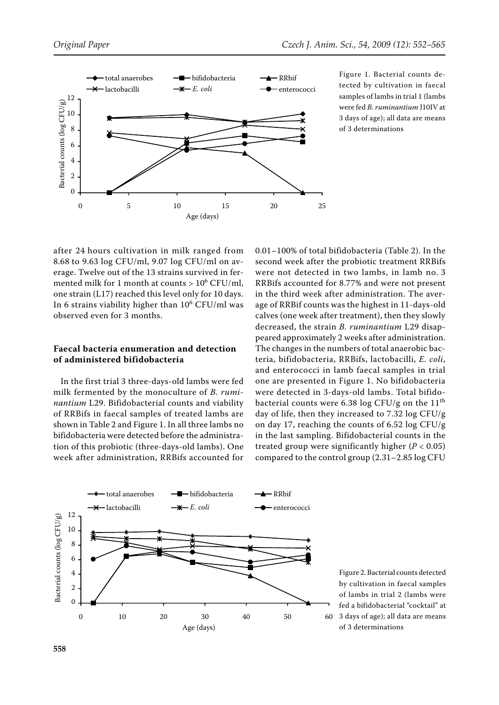

Figure 1. Bacterial counts detected by cultivation in faecal samples of lambs in trial 1 (lambs were fed *B. ruminantium* J10IV at 3 days of age); all data are means of 3 determinations

after 24 hours cultivation in milk ranged from 8.68 to 9.63 log CFU/ml, 9.07 log CFU/ml on average. Twelve out of the 13 strains survived in fermented milk for 1 month at counts  $> 10^6$  CFU/ml, one strain (L17) reached this level only for 10 days. In 6 strains viability higher than  $10^6$  CFU/ml was observed even for 3 months.

# **Faecal bacteria enumeration and detection of administered bifidobacteria**

In the first trial 3 three-days-old lambs were fed milk fermented by the monoculture of *B. ruminantium* L29. Bifidobacterial counts and viability of RRBifs in faecal samples of treated lambs are shown in Table 2 and Figure 1. In all three lambs no bifidobacteria were detected before the administration of this probiotic (three-days-old lambs). One week after administration, RRBifs accounted for 0.01–100% of total bifidobacteria (Table 2). In the second week after the probiotic treatment RRBifs were not detected in two lambs, in lamb no. 3 RRBifs accounted for 8.77% and were not present in the third week after administration. The average of RRBif counts was the highest in 11-days-old calves (one week after treatment), then they slowly decreased, the strain *B. ruminantium* L29 disappeared approximately 2 weeks after administration. The changes in the numbers of total anaerobic bacteria, bifidobacteria, RRBifs, lactobacilli, *E. coli*, and enterococci in lamb faecal samples in trial one are presented in Figure 1. No bifidobacteria were detected in 3-days-old lambs. Total bifidobacterial counts were 6.38 log CFU/g on the  $11<sup>th</sup>$ day of life, then they increased to 7.32 log CFU/g on day 17, reaching the counts of 6.52 log CFU/g in the last sampling. Bifidobacterial counts in the treated group were significantly higher (*P* < 0.05) compared to the control group (2.31–2.85 log CFU



Figure 2. Bacterial counts detected by cultivation in faecal samples of lambs in trial 2 (lambs were fed a bifidobacterial "cocktail" at 3 days of age); all data are means of 3 determinations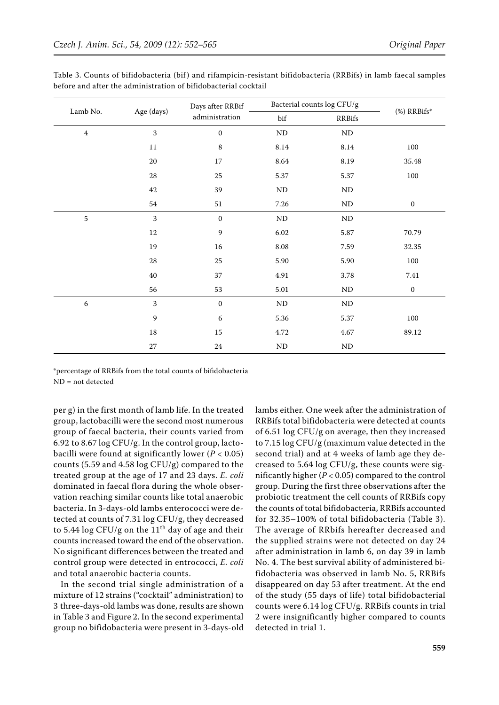|                  |            | Days after RRBif | Bacterial counts log CFU/g |               |                  |  |
|------------------|------------|------------------|----------------------------|---------------|------------------|--|
| Lamb No.         | Age (days) | administration   | bif                        | <b>RRBifs</b> | $%$ ) RRBifs*    |  |
| $\bf 4$          | 3          |                  | $\rm ND$                   | $\rm ND$      |                  |  |
|                  | $11\,$     | $\,$ 8 $\,$      | $8.14\,$                   | $8.14\,$      | 100              |  |
|                  | $20\,$     | $17\,$           | $8.64\,$                   | 8.19          | 35.48            |  |
|                  | $\rm 28$   | $25\,$           | 5.37                       | 5.37          | 100              |  |
|                  | $42\,$     | 39               | $\rm ND$                   | $\rm ND$      |                  |  |
|                  | 54         | $51\,$           | 7.26                       | ND            | $\boldsymbol{0}$ |  |
| 5                | 3          | $\boldsymbol{0}$ | $\rm ND$                   | $\rm ND$      |                  |  |
|                  | $12\,$     | $\boldsymbol{9}$ | 6.02                       | 5.87          | 70.79            |  |
|                  | 19         | $16\,$           | $8.08\,$                   | 7.59          | 32.35            |  |
|                  | $\rm 28$   | $25\,$           | 5.90                       | 5.90          | 100              |  |
|                  | $40\,$     | 37               | 4.91                       | 3.78          | 7.41             |  |
|                  | 56         | 53               | $5.01\,$                   | $\rm ND$      | $\boldsymbol{0}$ |  |
| $\boldsymbol{6}$ | 3          | $\mathbf{0}$     | $\rm ND$                   | ND            |                  |  |
|                  | 9          | 6                | 5.36                       | 5.37          | 100              |  |
|                  | $18\,$     | $15\,$           | 4.72                       | 4.67          | 89.12            |  |
|                  | $27\,$     | $24\,$           | $\rm ND$                   | $\rm ND$      |                  |  |

Table 3. Counts of bifidobacteria (bif) and rifampicin-resistant bifidobacteria (RRBifs) in lamb faecal samples before and after the administration of bifidobacterial cocktail

\*percentage of RRBifs from the total counts of bifidobacteria ND = not detected

per g) in the first month of lamb life. In the treated group, lactobacilli were the second most numerous group of faecal bacteria, their counts varied from 6.92 to 8.67 log CFU/g. In the control group, lactobacilli were found at significantly lower  $(P < 0.05)$ counts (5.59 and 4.58 log CFU/g) compared to the treated group at the age of 17 and 23 days. *E. coli* dominated in faecal flora during the whole observation reaching similar counts like total anaerobic bacteria. In 3-days-old lambs enterococci were detected at counts of 7.31 log CFU/g, they decreased to 5.44 log CFU/g on the  $11<sup>th</sup>$  day of age and their counts increased toward the end of the observation. No significant differences between the treated and control group were detected in entrococci, *E. coli* and total anaerobic bacteria counts.

In the second trial single administration of a mixture of 12 strains ("cocktail" administration) to 3 three-days-old lambs was done, results are shown in Table 3 and Figure 2. In the second experimental group no bifidobacteria were present in 3-days-old lambs either. One week after the administration of RRBifs total bifidobacteria were detected at counts of 6.51 log CFU/g on average, then they increased to 7.15 log CFU/g (maximum value detected in the second trial) and at 4 weeks of lamb age they decreased to 5.64 log CFU/g, these counts were significantly higher (*P* < 0.05) compared to the control group. During the first three observations after the probiotic treatment the cell counts of RRBifs copy the counts of total bifidobacteria, RRBifs accounted for 32.35–100% of total bifidobacteria (Table 3). The average of RRbifs hereafter decreased and the supplied strains were not detected on day 24 after administration in lamb 6, on day 39 in lamb No. 4. The best survival ability of administered bifidobacteria was observed in lamb No. 5, RRBifs disappeared on day 53 after treatment. At the end of the study (55 days of life) total bifidobacterial counts were 6.14 log CFU/g. RRBifs counts in trial 2 were insignificantly higher compared to counts detected in trial 1.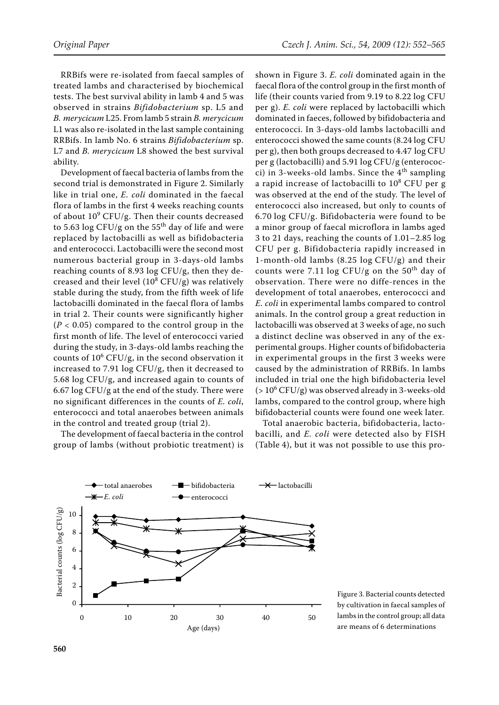RRBifs were re-isolated from faecal samples of treated lambs and characterised by biochemical tests. The best survival ability in lamb 4 and 5 was observed in strains *Bifidobacterium* sp. L5 and *B. merycicum* L25. From lamb 5 strain *B. merycicum* L1 was also re-isolated in the last sample containing RRBifs. In lamb No. 6 strains *Bifidobacterium* sp. L7 and *B. merycicum* L8 showed the best survival ability.

Development of faecal bacteria of lambs from the second trial is demonstrated in Figure 2. Similarly like in trial one, *E. coli* dominated in the faecal flora of lambs in the first 4 weeks reaching counts of about  $10^9$  CFU/g. Then their counts decreased to 5.63 log CFU/g on the  $55<sup>th</sup>$  day of life and were replaced by lactobacilli as well as bifidobacteria and enterococci. Lactobacilli were the second most numerous bacterial group in 3-days-old lambs reaching counts of 8.93 log CFU/g, then they decreased and their level  $(10^8 \, \mathrm{CFU/g})$  was relatively stable during the study, from the fifth week of life lactobacilli dominated in the faecal flora of lambs in trial 2. Their counts were significantly higher  $(P < 0.05)$  compared to the control group in the first month of life. The level of enterococci varied during the study, in 3-days-old lambs reaching the counts of  $10^6$  CFU/g, in the second observation it increased to 7.91 log CFU/g, then it decreased to 5.68 log CFU/g, and increased again to counts of 6.67 log CFU/g at the end of the study. There were no significant differences in the counts of *E. coli*, enterococci and total anaerobes between animals in the control and treated group (trial 2).

The development of faecal bacteria in the control group of lambs (without probiotic treatment) is shown in Figure 3. *E. coli* dominated again in the faecal flora of the control group in the first month of life (their counts varied from 9.19 to 8.22 log CFU per g). *E. coli* were replaced by lactobacilli which dominated in faeces, followed by bifidobacteria and enterococci. In 3-days-old lambs lactobacilli and enterococci showed the same counts (8.24 log CFU per g), then both groups decreased to 4.47 log CFU per g (lactobacilli) and 5.91 log CFU/g (enterococci) in 3-weeks-old lambs. Since the  $4<sup>th</sup>$  sampling a rapid increase of lactobacilli to 10<sup>8</sup> CFU per g was observed at the end of the study. The level of enterococci also increased, but only to counts of 6.70 log CFU/g. Bifidobacteria were found to be a minor group of faecal microflora in lambs aged 3 to 21 days, reaching the counts of 1.01–2.85 log CFU per g. Bifidobacteria rapidly increased in 1-month-old lambs (8.25 log CFU/g) and their counts were 7.11 log CFU/g on the  $50<sup>th</sup>$  day of observation. There were no diffe-rences in the development of total anaerobes, enterococci and *E. coli* in experimental lambs compared to control animals. In the control group a great reduction in lactobacilli was observed at 3 weeks of age, no such a distinct decline was observed in any of the experimental groups. Higher counts of bifidobacteria in experimental groups in the first 3 weeks were caused by the administration of RRBifs. In lambs included in trial one the high bifidobacteria level ( $> 10^6$  CFU/g) was observed already in 3-weeks-old lambs, compared to the control group, where high bifidobacterial counts were found one week later.

Total anaerobic bacteria, bifidobacteria, lactobacilli, and *E. coli* were detected also by FISH (Table 4), but it was not possible to use this pro-



Figure 3. Bacterial counts detected by cultivation in faecal samples of lambs in the control group; all data are means of 6 determinations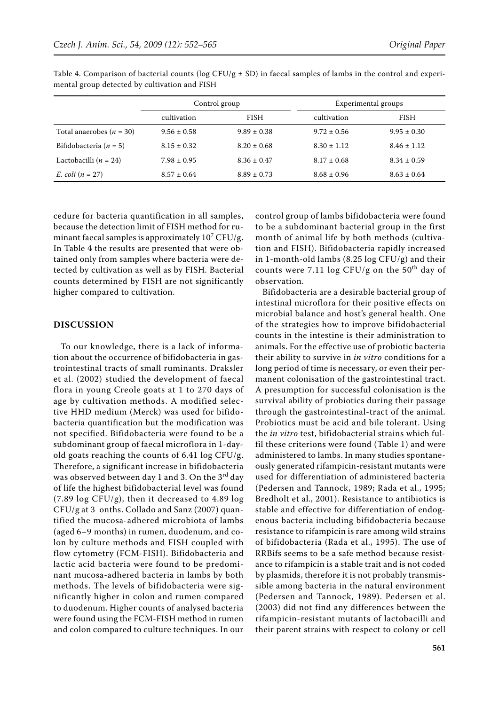|                                    | Control group   |                 | Experimental groups |                 |  |
|------------------------------------|-----------------|-----------------|---------------------|-----------------|--|
|                                    | cultivation     | <b>FISH</b>     | cultivation         | <b>FISH</b>     |  |
| Total anaerobes ( $n = 30$ )       | $9.56 \pm 0.58$ | $9.89 \pm 0.38$ | $9.72 \pm 0.56$     | $9.95 \pm 0.30$ |  |
| Bifidobacteria ( $n = 5$ )         | $8.15 \pm 0.32$ | $8.20 \pm 0.68$ | $8.30 \pm 1.12$     | $8.46 \pm 1.12$ |  |
| Lactobacilli ( $n = 24$ )          | $7.98 \pm 0.95$ | $8.36 \pm 0.47$ | $8.17 \pm 0.68$     | $8.34 \pm 0.59$ |  |
| <i>E.</i> $\text{coli}$ $(n = 27)$ | $8.57 \pm 0.64$ | $8.89 \pm 0.73$ | $8.68 \pm 0.96$     | $8.63 \pm 0.64$ |  |

Table 4. Comparison of bacterial counts ( $\log$  CFU/g  $\pm$  SD) in faecal samples of lambs in the control and experimental group detected by cultivation and FISH

cedure for bacteria quantification in all samples, because the detection limit of FISH method for ruminant faecal samples is approximately  $10^7$  CFU/g. In Table 4 the results are presented that were obtained only from samples where bacteria were detected by cultivation as well as by FISH. Bacterial counts determined by FISH are not significantly higher compared to cultivation.

#### **Discussion**

To our knowledge, there is a lack of information about the occurrence of bifidobacteria in gastrointestinal tracts of small ruminants. Draksler et al. (2002) studied the development of faecal flora in young Creole goats at 1 to 270 days of age by cultivation methods. A modified selective HHD medium (Merck) was used for bifidobacteria quantification but the modification was not specified. Bifidobacteria were found to be a subdominant group of faecal microflora in 1-dayold goats reaching the counts of 6.41 log CFU/g. Therefore, a significant increase in bifidobacteria was observed between day 1 and 3. On the  $3<sup>rd</sup>$  day of life the highest bifidobacterial level was found (7.89 log CFU/g), then it decreased to 4.89 log CFU/g at 3 onths. Collado and Sanz (2007) quantified the mucosa-adhered microbiota of lambs (aged 6–9 months) in rumen, duodenum, and colon by culture methods and FISH coupled with flow cytometry (FCM-FISH). Bifidobacteria and lactic acid bacteria were found to be predominant mucosa-adhered bacteria in lambs by both methods. The levels of bifidobacteria were significantly higher in colon and rumen compared to duodenum. Higher counts of analysed bacteria were found using the FCM-FISH method in rumen and colon compared to culture techniques. In our

control group of lambs bifidobacteria were found to be a subdominant bacterial group in the first month of animal life by both methods (cultivation and FISH). Bifidobacteria rapidly increased in 1-month-old lambs (8.25 log CFU/g) and their counts were 7.11 log CFU/g on the  $50<sup>th</sup>$  day of observation.

Bifidobacteria are a desirable bacterial group of intestinal microflora for their positive effects on microbial balance and host's general health. One of the strategies how to improve bifidobacterial counts in the intestine is their administration to animals. For the effective use of probiotic bacteria their ability to survive in *in vitro* conditions for a long period of time is necessary, or even their permanent colonisation of the gastrointestinal tract. A presumption for successful colonisation is the survival ability of probiotics during their passage through the gastrointestinal-tract of the animal. Probiotics must be acid and bile tolerant. Using the *in vitro* test, bifidobacterial strains which fulfil these criterions were found (Table 1) and were administered to lambs. In many studies spontaneously generated rifampicin-resistant mutants were used for differentiation of administered bacteria (Pedersen and Tannock, 1989; Rada et al., 1995; Bredholt et al., 2001). Resistance to antibiotics is stable and effective for differentiation of endogenous bacteria including bifidobacteria because resistance to rifampicin is rare among wild strains of bifidobacteria (Rada et al., 1995). The use of RRBifs seems to be a safe method because resistance to rifampicin is a stable trait and is not coded by plasmids, therefore it is not probably transmissible among bacteria in the natural environment (Pedersen and Tannock, 1989). Pedersen et al. (2003) did not find any differences between the rifampicin-resistant mutants of lactobacilli and their parent strains with respect to colony or cell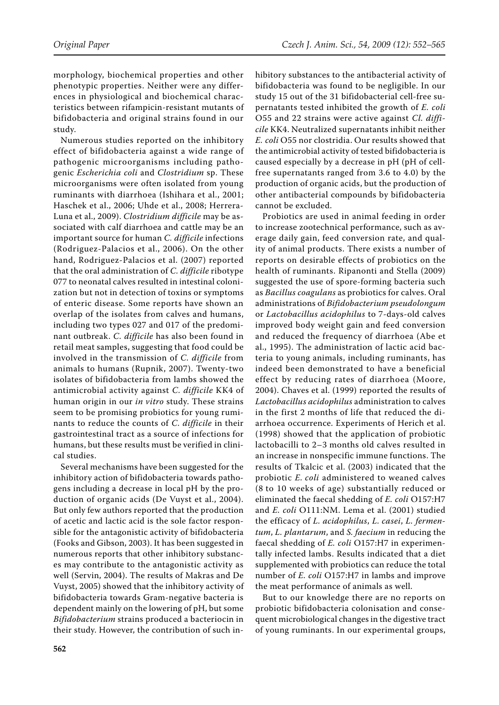morphology, biochemical properties and other phenotypic properties. Neither were any differences in physiological and biochemical characteristics between rifampicin-resistant mutants of bifidobacteria and original strains found in our study.

Numerous studies reported on the inhibitory effect of bifidobacteria against a wide range of pathogenic microorganisms including pathogenic *Escherichia coli* and *Clostridium* sp. These microorganisms were often isolated from young ruminants with diarrhoea (Ishihara et al., 2001; Haschek et al., 2006; Uhde et al., 2008; Herrera-Luna et al., 2009). *Clostridium difficile* may be associated with calf diarrhoea and cattle may be an important source for human *C. difficile* infections (Rodriguez-Palacios et al., 2006). On the other hand, Rodriguez-Palacios et al. (2007) reported that the oral administration of *C. difficile* ribotype 077 to neonatal calves resulted in intestinal colonization but not in detection of toxins or symptoms of enteric disease. Some reports have shown an overlap of the isolates from calves and humans, including two types 027 and 017 of the predominant outbreak. *C. difficile* has also been found in retail meat samples, suggesting that food could be involved in the transmission of *C. difficile* from animals to humans (Rupnik, 2007). Twenty-two isolates of bifidobacteria from lambs showed the antimicrobial activity against *C. difficile* KK4 of human origin in our *in vitro* study. These strains seem to be promising probiotics for young ruminants to reduce the counts of *C. difficile* in their gastrointestinal tract as a source of infections for humans, but these results must be verified in clinical studies.

Several mechanisms have been suggested for the inhibitory action of bifidobacteria towards pathogens including a decrease in local pH by the production of organic acids (De Vuyst et al., 2004). But only few authors reported that the production of acetic and lactic acid is the sole factor responsible for the antagonistic activity of bifidobacteria (Fooks and Gibson, 2003). It has been suggested in numerous reports that other inhibitory substances may contribute to the antagonistic activity as well (Servin, 2004). The results of Makras and De Vuyst, 2005) showed that the inhibitory activity of bifidobacteria towards Gram-negative bacteria is dependent mainly on the lowering of pH, but some *Bifidobacterium* strains produced a bacteriocin in their study. However, the contribution of such inhibitory substances to the antibacterial activity of bifidobacteria was found to be negligible. In our study 15 out of the 31 bifidobacterial cell-free supernatants tested inhibited the growth of *E. coli* O55 and 22 strains were active against *Cl. difficile* KK4. Neutralized supernatants inhibit neither *E. coli* O55 nor clostridia. Our results showed that the antimicrobial activity of tested bifidobacteria is caused especially by a decrease in pH (pH of cellfree supernatants ranged from 3.6 to 4.0) by the production of organic acids, but the production of other antibacterial compounds by bifidobacteria cannot be excluded.

Probiotics are used in animal feeding in order to increase zootechnical performance, such as average daily gain, feed conversion rate, and quality of animal products. There exists a number of reports on desirable effects of probiotics on the health of ruminants. Ripanonti and Stella (2009) suggested the use of spore-forming bacteria such as *Bacillus coagulans* as probiotics for calves. Oral administrations of *Bifidobacterium pseudolongum* or *Lactobacillus acidophilus* to 7-days-old calves improved body weight gain and feed conversion and reduced the frequency of diarrhoea (Abe et al., 1995). The administration of lactic acid bacteria to young animals, including ruminants, has indeed been demonstrated to have a beneficial effect by reducing rates of diarrhoea (Moore, 2004). Chaves et al. (1999) reported the results of *Lactobacillus acidophilus* administration to calves in the first 2 months of life that reduced the diarrhoea occurrence. Experiments of Herich et al. (1998) showed that the application of probiotic lactobacilli to 2–3 months old calves resulted in an increase in nonspecific immune functions. The results of Tkalcic et al. (2003) indicated that the probiotic *E. coli* administered to weaned calves (8 to 10 weeks of age) substantially reduced or eliminated the faecal shedding of *E. coli* O157:H7 and *E. coli* O111:NM. Lema et al. (2001) studied the efficacy of *L. acidophilus*, *L. casei*, *L. fermentum*, *L. plantarum*, and *S. faecium* in reducing the faecal shedding of *E. coli* O157:H7 in experimentally infected lambs. Results indicated that a diet supplemented with probiotics can reduce the total number of *E. coli* O157:H7 in lambs and improve the meat performance of animals as well.

But to our knowledge there are no reports on probiotic bifidobacteria colonisation and consequent microbiological changes in the digestive tract of young ruminants. In our experimental groups,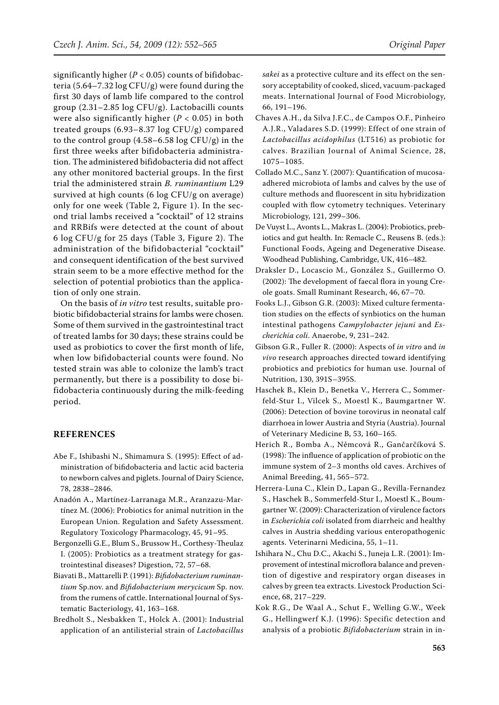significantly higher  $(P < 0.05)$  counts of bifidobacteria (5.64–7.32 log CFU/g) were found during the first 30 days of lamb life compared to the control group (2.31–2.85 log CFU/g). Lactobacilli counts were also significantly higher (*P* < 0.05) in both treated groups (6.93–8.37 log CFU/g) compared to the control group (4.58–6.58 log CFU/g) in the first three weeks after bifidobacteria administration. The administered bifidobacteria did not affect any other monitored bacterial groups. In the first trial the administered strain *B. ruminantium* L29 survived at high counts (6 log CFU/g on average) only for one week (Table 2, Figure 1). In the second trial lambs received a "cocktail" of 12 strains and RRBifs were detected at the count of about 6 log CFU/g for 25 days (Table 3, Figure 2). The administration of the bifidobacterial "cocktail" and consequent identification of the best survived strain seem to be a more effective method for the selection of potential probiotics than the application of only one strain.

On the basis of *in vitro* test results, suitable probiotic bifidobacterial strains for lambs were chosen. Some of them survived in the gastrointestinal tract of treated lambs for 30 days; these strains could be used as probiotics to cover the first month of life, when low bifidobacterial counts were found. No tested strain was able to colonize the lamb's tract permanently, but there is a possibility to dose bifidobacteria continuously during the milk-feeding period.

# **References**

- Abe F., Ishibashi N., Shimamura S. (1995): Effect of administration of bifidobacteria and lactic acid bacteria to newborn calves and piglets. Journal of Dairy Science, 78, 2838–2846.
- Anadón A., Martínez-Larranaga M.R., Aranzazu-Martínez M. (2006): Probiotics for animal nutrition in the European Union. Regulation and Safety Assessment. Regulatory Toxicology Pharmacology, 45, 91–95.
- Bergonzelli G.E., Blum S., Brussow H., Corthesy-Theulaz I. (2005): Probiotics as a treatment strategy for gastrointestinal diseases? Digestion, 72, 57–68.
- Biavati B., Mattarelli P. (1991): *Bifidobacterium ruminantium* Sp.nov. and *Bifidobacterium merycicum* Sp. nov. from the rumens of cattle. International Journal of Systematic Bacteriology, 41, 163–168.
- Bredholt S., Nesbakken T., Holck A. (2001): Industrial application of an antilisterial strain of *Lactobacillus*

*sakei* as a protective culture and its effect on the sensory acceptability of cooked, sliced, vacuum-packaged meats. International Journal of Food Microbiology, 66, 191–196.

- Chaves A.H., da Silva J.F.C., de Campos O.F., Pinheiro A.J.R., Valadares S.D. (1999): Effect of one strain of *Lactobacillus acidophilus* (LT516) as probiotic for calves. Brazilian Journal of Animal Science, 28, 1075–1085.
- Collado M.C., Sanz Y. (2007): Quantification of mucosaadhered microbiota of lambs and calves by the use of culture methods and fluorescent in situ hybridization coupled with flow cytometry techniques. Veterinary Microbiology, 121, 299–306.
- De Vuyst L., Avonts L., Makras L. (2004): Probiotics, prebiotics and gut health. In: Remacle C., Reusens B. (eds.): Functional Foods, Ageing and Degenerative Disease. Woodhead Publishing, Cambridge, UK, 416–482.
- Draksler D., Locascio M., González S., Guillermo O. (2002): The development of faecal flora in young Creole goats. Small Ruminant Research, 46, 67–70.
- Fooks L.J., Gibson G.R. (2003): Mixed culture fermentation studies on the effects of synbiotics on the human intestinal pathogens *Campylobacter jejuni* and *Escherichia coli*. Anaerobe, 9, 231–242.
- Gibson G.R., Fuller R. (2000): Aspects of *in vitro* and *in vivo* research approaches directed toward identifying probiotics and prebiotics for human use. Journal of Nutrition, 130, 391S–395S.
- Haschek B., Klein D., Benetka V., Herrera C., Sommerfeld-Stur I., Vilcek S., Moestl K., Baumgartner W. (2006): Detection of bovine torovirus in neonatal calf diarrhoea in lower Austria and Styria (Austria). Journal of Veterinary Medicine B, 53, 160–165.
- Herich R., Bomba A., Němcová R., Gančarčíková S. (1998): The influence of application of probiotic on the immune system of 2–3 months old caves. Archives of Animal Breeding, 41, 565–572.
- Herrera-Luna C., Klein D., Lapan G., Revilla-Fernandez S., Haschek B., Sommerfeld-Stur I., Moestl K., Boumgartner W. (2009): Characterization of virulence factors in *Escherichia coli* isolated from diarrheic and healthy calves in Austria shedding various enteropathogenic agents. Veterinarni Medicina, 55, 1–11.
- Ishihara N., Chu D.C., Akachi S., Juneja L.R. (2001): Improvement of intestinal microflora balance and prevention of digestive and respiratory organ diseases in calves by green tea extracts. Livestock Production Science, 68, 217–229.
- Kok R.G., De Waal A., Schut F., Welling G.W., Week G., Hellingwerf K.J. (1996): Specific detection and analysis of a probiotic *Bifidobacterium* strain in in-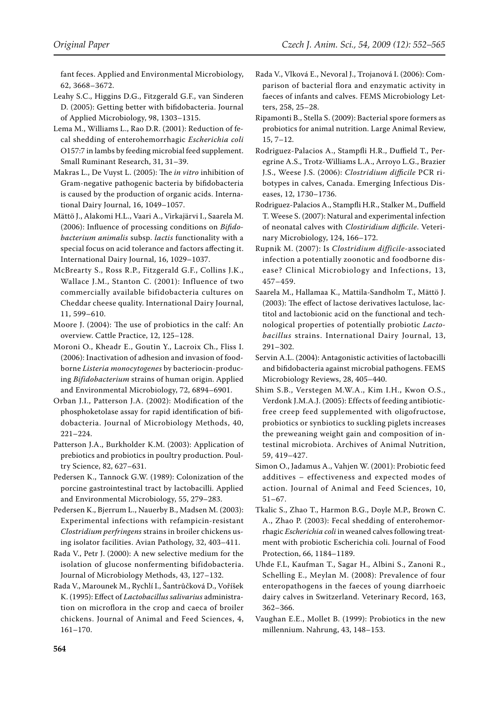fant feces. Applied and Environmental Microbiology, 62, 3668–3672.

- Leahy S.C., Higgins D.G., Fitzgerald G.F., van Sinderen D. (2005): Getting better with bifidobacteria. Journal of Applied Microbiology, 98, 1303–1315.
- Lema M., Williams L., Rao D.R. (2001): Reduction of fecal shedding of enterohemorrhagic *Escherichia coli* O157:7 in lambs by feeding microbial feed supplement. Small Ruminant Research, 31, 31–39.
- Makras L., De Vuyst L. (2005): The *in vitro* inhibition of Gram-negative pathogenic bacteria by bifidobacteria is caused by the production of organic acids. International Dairy Journal, 16, 1049–1057.
- Mättö J., Alakomi H.L., Vaari A., Virkajärvi I., Saarela M. (2006): Influence of processing conditions on *Bifidobacterium animalis* subsp. *lactis* functionality with a special focus on acid tolerance and factors affecting it. International Dairy Journal, 16, 1029–1037.
- McBrearty S., Ross R.P., Fitzgerald G.F., Collins J.K., Wallace J.M., Stanton C. (2001): Influence of two commercially available bifidobacteria cultures on Cheddar cheese quality. International Dairy Journal, 11, 599–610.
- Moore J. (2004): The use of probiotics in the calf: An overview. Cattle Practice, 12, 125–128.
- Moroni O., Kheadr E., Goutin Y., Lacroix Ch., Fliss I. (2006): Inactivation of adhesion and invasion of foodborne *Listeria monocytogenes* by bacteriocin-producing *Bifidobacterium* strains of human origin. Applied and Environmental Microbiology, 72, 6894–6901.
- Orban J.I., Patterson J.A. (2002): Modification of the phosphoketolase assay for rapid identification of bifidobacteria. Journal of Microbiology Methods, 40, 221–224.
- Patterson J.A., Burkholder K.M. (2003): Application of prebiotics and probiotics in poultry production. Poultry Science, 82, 627–631.
- Pedersen K., Tannock G.W. (1989): Colonization of the porcine gastrointestinal tract by lactobacilli. Applied and Environmental Microbiology, 55, 279–283.
- Pedersen K., Bjerrum L., Nauerby B., Madsen M. (2003): Experimental infections with refampicin-resistant *Clostridium perfringens* strains in broiler chickens using isolator facilities. Avian Pathology, 32, 403–411.
- Rada V., Petr J. (2000): A new selective medium for the isolation of glucose nonfermenting bifidobacteria. Journal of Microbiology Methods, 43, 127–132.
- Rada V., Marounek M., Rychlí I., Šantrůčková D., Voříšek K. (1995): Effect of *Lactobacillus salivarius* administration on microflora in the crop and caeca of broiler chickens. Journal of Animal and Feed Sciences, 4, 161–170.
- Rada V., Vlková E., Nevoral J., Trojanová I. (2006): Comparison of bacterial flora and enzymatic activity in faeces of infants and calves. FEMS Microbiology Letters, 258, 25–28.
- Ripamonti B., Stella S. (2009): Bacterial spore formers as probiotics for animal nutrition. Large Animal Review, 15, 7–12.
- Rodriguez-Palacios A., Stampfli H.R., Duffield T., Peregrine A.S., Trotz-Williams L.A., Arroyo L.G., Brazier J.S., Weese J.S. (2006): *Clostridium difficile* PCR ribotypes in calves, Canada. Emerging Infectious Diseases, 12, 1730–1736.
- Rodriguez-Palacios A., Stampfli H.R., Stalker M., Duffield T. Weese S. (2007): Natural and experimental infection of neonatal calves with *Clostiridium difficile*. Veterinary Microbiology, 124, 166–172.
- Rupnik M. (2007): Is *Clostridium difficile*-associated infection a potentially zoonotic and foodborne disease? Clinical Microbiology and Infections, 13, 457–459.
- Saarela M., Hallamaa K., Mattila-Sandholm T., Mättö J. (2003): The effect of lactose derivatives lactulose, lactitol and lactobionic acid on the functional and technological properties of potentially probiotic *Lactobacillus* strains. International Dairy Journal, 13, 291–302.
- Servin A.L. (2004): Antagonistic activities of lactobacilli and bifidobacteria against microbial pathogens. FEMS Microbiology Reviews, 28, 405–440.
- Shim S.B., Verstegen M.W.A., Kim I.H., Kwon O.S., Verdonk J.M.A.J. (2005): Effects of feeding antibioticfree creep feed supplemented with oligofructose, probiotics or synbiotics to suckling piglets increases the preweaning weight gain and composition of intestinal microbiota. Archives of Animal Nutrition, 59, 419–427.
- Simon O., Jadamus A., Vahjen W. (2001): Probiotic feed additives – effectiveness and expected modes of action. Journal of Animal and Feed Sciences, 10, 51–67.
- Tkalic S., Zhao T., Harmon B.G., Doyle M.P., Brown C. A., Zhao P. (2003): Fecal shedding of enterohemorrhagic *Escherichia coli* in weaned calves following treatment with probiotic Escherichia coli. Journal of Food Protection, 66, 1184–1189.
- Uhde F.L, Kaufman T., Sagar H., Albini S., Zanoni R., Schelling E., Meylan M. (2008): Prevalence of four enteropathogens in the faeces of young diarrhoeic dairy calves in Switzerland. Veterinary Record, 163, 362–366.
- Vaughan E.E., Mollet B. (1999): Probiotics in the new millennium. Nahrung, 43, 148–153.